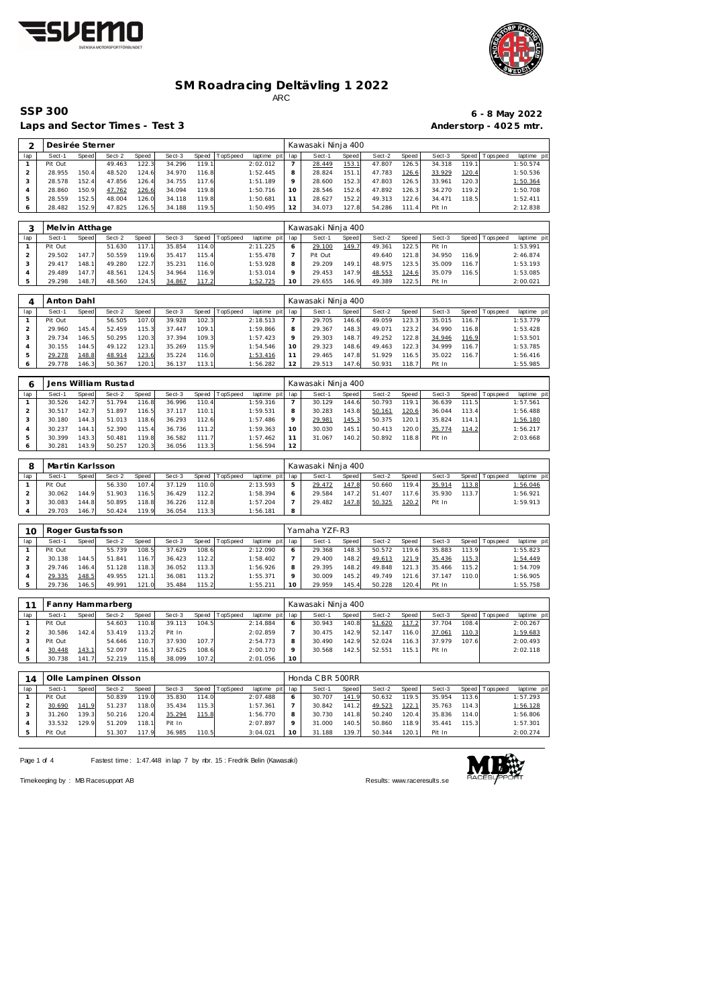



### **SM Roadracing Deltävling 1 2022** ARC

Laps and Sector Times - Test 3 **Anderstorp - 4025 mtr.** 

## **SSP 300 6 - 8 May 2022**

| 2<br>Desirée Sterner           |                            |                |                      |                |                  |                |          |                         |                       | Kawasaki Ninja 400           |                |                  |                |                  |                |             |                         |  |
|--------------------------------|----------------------------|----------------|----------------------|----------------|------------------|----------------|----------|-------------------------|-----------------------|------------------------------|----------------|------------------|----------------|------------------|----------------|-------------|-------------------------|--|
| lap                            | Sect-1                     | Speed          | Sect-2               | Speed          | Sect-3           | Speed          | TopSpeed | laptime pit             | lap                   | Sect-1                       | Speed          | Sect-2           | Speed          | Sect-3           | Speed          | T ops pee d | laptime pit             |  |
| $\mathbf{1}$                   | Pit Out                    |                | 49.463               | 122.3          | 34.296           | 119.1          |          | 2:02.012                | $\overline{7}$        | 28.449                       | 153.1          | 47.807           | 126.5          | 34.318           | 119.1          |             | 1:50.574                |  |
| $\overline{2}$                 | 28.955                     | 150.4          | 48.520               | 124.6          | 34.970           | 116.8          |          | 1:52.445                | 8                     | 28.824                       | 151.1          | 47.783           | 126.6          | 33.929           | 120.4          |             | 1:50.536                |  |
| 3                              | 28.578                     | 152.4          | 47.856               | 126.4          | 34.755           | 117.6          |          | 1:51.189                | 9                     | 28.600                       | 152.3          | 47.803           | 126.5          | 33.961           | 120.3          |             | 1:50.364                |  |
| $\overline{4}$                 | 28.860                     | 150.9          | 47.762               | 126.6          | 34.094           | 119.8          |          | 1:50.716                | 10                    | 28.546                       | 152.6          | 47.892           | 126.3          | 34.270           | 119.2          |             | 1:50.708                |  |
| 5                              | 28.559                     | 152.5          | 48.004               | 126.0          | 34.118           | 119.8          |          | 1:50.681                | 11                    | 28.627                       | 152.2          | 49.313           | 122.6          | 34.471           | 118.5          |             | 1:52.411                |  |
| 6                              | 28.482                     | 152.9          | 47.825               | 126.5          | 34.188           | 119.5          |          | 1:50.495                | 12                    | 34.073                       | 127.8          | 54.286           | 111.4          | Pit In           |                |             | 2:12.838                |  |
|                                |                            |                |                      |                |                  |                |          |                         |                       |                              |                |                  |                |                  |                |             |                         |  |
| 3<br>lap                       | Melvin Atthage<br>Sect-1   | Speed          | Sect-2               | Speed          | Sect-3           | Speed          | TopSpeed | laptime pit             | lap                   | Kawasaki Ninja 400<br>Sect-1 |                | Sect-2           | Speed          | Sect-3           | Speed          | T ops pee d |                         |  |
| $\mathbf{1}$                   | Pit Out                    |                | 51.630               | 117.1          | 35.854           | 114.0          |          | 2:11.225                | 6                     | 29.100                       | Speed<br>149.7 | 49.361           | 122.5          | Pit In           |                |             | laptime pit<br>1:53.991 |  |
| $\sqrt{2}$                     | 29.502                     | 147.7          | 50.559               | 119.6          | 35.417           | 115.4          |          | 1:55.478                | $\overline{7}$        | Pit Out                      |                | 49.640           | 121.8          | 34.950           | 116.9          |             | 2:46.874                |  |
| 3                              | 29.417                     | 148.1          | 49.280               | 122.7          | 35.231           | 116.0          |          | 1:53.928                | 8                     | 29.209                       | 149.1          | 48.975           | 123.5          | 35.009           | 116.7          |             | 1:53.193                |  |
| $\overline{4}$                 | 29.489                     | 147.7          | 48.561               | 124.5          | 34.964           | 116.9          |          | 1:53.014                | 9                     | 29.453                       | 147.9          | 48.553           | 124.6          | 35.079           | 116.5          |             | 1:53.085                |  |
| 5                              | 29.298                     | 148.7          | 48.560               | 124.5          | 34.867           | 117.2          |          | 1:52.725                | 10                    | 29.655                       | 146.9          | 49.389           | 122.5          | Pit In           |                |             | 2:00.021                |  |
|                                |                            |                |                      |                |                  |                |          |                         |                       |                              |                |                  |                |                  |                |             |                         |  |
| 4                              | Anton Dahl                 |                |                      |                |                  |                |          |                         |                       | Kawasaki Ninja 400           |                |                  |                |                  |                |             |                         |  |
| lap                            | Sect-1                     | Speed          | Sect-2               | Speed          | Sect-3           | Speed          | TopSpeed | laptime pit             | lap                   | Sect-1                       | Speed          | Sect-2           | Speed          | Sect-3           | Speed          | Tops pee d  | laptime pit             |  |
| $\mathbf{1}$                   | Pit Out                    |                | 56.505               | 107.0          | 39.928           | 102.3          |          | 2:18.513                | $\overline{7}$        | 29.705                       | 146.6          | 49.059           | 123.3          | 35.015           | 116.7          |             | 1:53.779                |  |
| $\overline{2}$                 | 29.960                     | 145.4          | 52.459               | 115.3          | 37.447           | 109.1          |          | 1:59.866                | 8                     | 29.367                       | 148.3          | 49.071           | 123.2          | 34.990           | 116.8          |             | 1:53.428                |  |
| 3                              | 29.734                     | 146.5          | 50.295               | 120.3          | 37.394           | 109.3          |          | 1:57.423                | 9                     | 29.303                       | 148.7          | 49.252           | 122.8          | 34.946           | 116.9          |             | 1:53.501                |  |
| $\overline{4}$                 | 30.155                     | 144.5          | 49.122               | 123.1          | 35.269           | 115.9          |          | 1:54.546                | 10                    | 29.323                       | 148.6          | 49.463           | 122.3          | 34.999           | 116.7          |             | 1:53.785                |  |
| 5                              | 29.278                     | 148.8          | 48.914               | 123.6          | 35.224           | 116.0          |          | 1:53.416                | 11                    | 29.465                       | 147.8          | 51.929           | 116.5          | 35.022           | 116.7          |             | 1:56.416                |  |
| 6                              | 29.778                     | 146.3          | 50.367               | 120.1          | 36.137           | 113.1          |          | 1:56.282                | 12                    | 29.513                       | 147.6          | 50.931           | 118.7          | Pit In           |                |             | 1:55.985                |  |
|                                |                            |                |                      |                |                  |                |          |                         |                       |                              |                |                  |                |                  |                |             |                         |  |
| 6                              |                            |                | Jens William Rustad  |                |                  |                |          |                         |                       | Kawasaki Ninja 400           |                |                  |                |                  |                |             |                         |  |
| lap<br>$\mathbf{1}$            | Sect-1<br>30.526           | Speed<br>142.7 | Sect-2<br>51.794     | Speed<br>116.8 | Sect-3<br>36.996 | Speed<br>110.4 | TopSpeed | laptime pit<br>1:59.316 | lap<br>$\overline{7}$ | Sect-1<br>30.129             | Speed<br>144.6 | Sect-2<br>50.793 | Speed<br>119.1 | Sect-3<br>36.639 | Speed<br>111.5 | Tops peed   | laptime pit<br>1:57.561 |  |
| $\overline{2}$                 | 30.517                     | 142.7          | 51.897               | 116.5          | 37.117           | 110.1          |          | 1:59.531                | 8                     | 30.283                       | 143.8          | 50.161           | 120.6          | 36.044           | 113.4          |             | 1:56.488                |  |
| 3                              | 30.180                     | 144.3          | 51.013               | 118.6          | 36.293           | 112.6          |          | 1:57.486                | 9                     | 29.981                       | 145.3          | 50.375           | 120.1          | 35.824           | 114.1          |             | 1:56.180                |  |
| $\overline{4}$                 | 30.237                     | 144.1          | 52.390               | 115.4          | 36.736           | 111.2          |          | 1:59.363                | 10                    | 30.030                       | 145.1          | 50.413           | 120.0          | 35.774           | 114.2          |             | 1:56.217                |  |
| 5                              | 30.399                     | 143.3          | 50.481               | 119.8          | 36.582           | 111.7          |          | 1:57.462                | 11                    | 31.067                       | 140.2          | 50.892           | 118.8          | Pit In           |                |             | 2:03.668                |  |
| 6                              | 30.281                     | 143.9          | 50.257               | 120.3          | 36.056           | 113.3          |          | 1:56.594                | 12                    |                              |                |                  |                |                  |                |             |                         |  |
|                                |                            |                |                      |                |                  |                |          |                         |                       |                              |                |                  |                |                  |                |             |                         |  |
| 8                              | Martin Karlsson            |                |                      |                |                  |                |          |                         |                       | Kawasaki Ninja 400           |                |                  |                |                  |                |             |                         |  |
| lap                            | Sect-1                     | Speed          | Sect-2               | Speed          | Sect-3           | Speed          | TopSpeed | laptime pit             | lap                   | Sect-1                       | Speed          | Sect-2           | Speed          | Sect-3           | Speed          | Tops peed   | laptime pit             |  |
| $\mathbf{1}$                   | Pit Out                    |                | 56.330               | 107.4          | 37.129           | 110.0          |          | 2:13.593                | 5                     | 29.472                       | 147.8          | 50.660           | 119.4          | 35.914           | 113.8          |             | 1:56.046                |  |
| $\overline{c}$                 | 30.062                     | 144.9          | 51.903               | 116.5          | 36.429           | 112.2          |          | 1:58.394                | 6                     | 29.584                       | 147.2          | 51.407           | 117.6          | 35.930           | 113.7          |             | 1:56.921                |  |
| $\sqrt{3}$                     | 30.083                     | 144.8          | 50.895               | 118.8          | 36.226           | 112.8          |          | 1:57.204                | $\overline{7}$        | 29.482                       | 147.8          | 50.325           | 120.2          | Pit In           |                |             | 1:59.913                |  |
| $\overline{4}$                 | 29.703                     | 146.7          | 50.424               | 119.9          | 36.054           | 113.3          |          | 1:56.181                | 8                     |                              |                |                  |                |                  |                |             |                         |  |
|                                |                            |                |                      |                |                  |                |          |                         |                       |                              |                |                  |                |                  |                |             |                         |  |
| 10                             | Roger Gustafsson<br>Sect-1 |                | Sect-2               |                | Sect-3           |                |          |                         |                       | Yamaha YZF-R3<br>Sect-1      |                | Sect-2           |                | Sect-3           |                |             |                         |  |
| lap<br>$\mathbf{1}$            | Pit Out                    | Speed          | 55.739               | Speed<br>108.5 | 37.629           | Speed<br>108.6 | TopSpeed | laptime pit<br>2:12.090 | lap<br>6              | 29.368                       | Speed<br>148.3 | 50.572           | Speed<br>119.6 | 35.883           | Speed<br>113.9 | T ops pee d | laptime pit<br>1:55.823 |  |
| $\overline{c}$                 | 30.138                     | 144.5          | 51.841               | 116.7          | 36.423           | 112.2          |          | 1:58.402                | $\overline{7}$        | 29.400                       | 148.2          | 49.613           | 121.9          | 35.436           | 115.3          |             | 1:54.449                |  |
| 3                              | 29.746                     | 146.4          | 51.128               | 118.3          | 36.052           | 113.3          |          | 1:56.926                | 8                     | 29.395                       | 148.2          | 49.848           | 121.3          | 35.466           | 115.2          |             | 1:54.709                |  |
| $\overline{4}$                 | 29.335                     | 148.5          | 49.955               | 121.1          | 36.081           | 113.2          |          | 1:55.371                | 9                     | 30.009                       | 145.2          | 49.749           | 121.6          | 37.147           | 110.0          |             | 1:56.905                |  |
| 5                              | 29.736                     | 146.5          | 49.991               | 121.0          | 35.484           | 115.2          |          | 1:55.211                | 10                    | 29.959                       | 145.4          | 50.228           | 120.4          | Pit In           |                |             | 1:55.758                |  |
|                                |                            |                |                      |                |                  |                |          |                         |                       |                              |                |                  |                |                  |                |             |                         |  |
| 11                             |                            |                | Fanny Hammarberg     |                |                  |                |          |                         |                       | Kawasaki Ninja 400           |                |                  |                |                  |                |             |                         |  |
| lap                            | Sect-1                     | Speed          | Sect-2               | Speed          | Sect-3           | Speed          | TopSpeed | laptime pit             | lap                   | Sect-1                       | Speed          | Sect-2           | Speed          | Sect-3           | Speed          | Tops pee d  | laptime pit             |  |
| $\mathbf{1}$                   | Pit Out                    |                | 54.603               | 110.8          | 39.113           | 104.5          |          | 2:14.884                | 6                     | 30.943                       | 140.8          | 51.620           | 117.2          | 37.704           | 108.4          |             | 2:00.267                |  |
| $\sqrt{2}$                     | 30.586                     | 142.4          | 53.419               | 113.2          | Pit In           |                |          | 2:02.859                | $\overline{7}$        | 30.475                       | 142.9          | 52.147           | 116.0          | 37.061           | 110.3          |             | 1:59.683                |  |
| 3                              | Pit Out                    |                | 54.646               | 110.7          | 37.930           | 107.7          |          | 2:54.773                | 8                     | 30.490                       | 142.9          | 52.024           | 116.3          | 37.979           | 107.6          |             | 2:00.493                |  |
| $\sqrt{4}$                     | 30.448                     | 143.1          | 52.097               | 116.1          | 37.625           | 108.6          |          | 2:00.170                | 9                     | 30.568                       | 142.5          | 52.551           | 115.1          | Pit In           |                |             | 2:02.118                |  |
| 5                              | 30.738                     | 141.7          | 52.219               | 115.8          | 38.099           | 107.2          |          | 2:01.056                | 10                    |                              |                |                  |                |                  |                |             |                         |  |
|                                |                            |                |                      |                |                  |                |          |                         |                       |                              |                |                  |                |                  |                |             |                         |  |
| 14                             |                            |                | Olle Lampinen Olsson |                |                  |                |          |                         |                       | Honda CBR 500RR              |                |                  |                |                  |                |             |                         |  |
| lap                            | Sect-1<br>Pit Out          | Speed          | Sect-2<br>50.839     | Speed          | Sect-3<br>35.830 | Speed<br>114.0 | TopSpeed | laptime pit<br>2:07.488 | lap                   | Sect-1                       | Speed          | Sect-2<br>50.632 | Speed          | Sect-3<br>35.954 | Speed          | Tops peed   | laptime pit<br>1:57.293 |  |
| $\mathbf{1}$<br>$\overline{c}$ | 30.690                     | 141.9          | 51.237               | 119.0<br>118.0 | 35.434           | 115.3          |          | 1:57.361                | 6<br>$\overline{7}$   | 30.707<br>30.842             | 141.9<br>141.2 | 49.523           | 119.5<br>122.1 | 35.763           | 113.6<br>114.3 |             | 1:56.128                |  |
|                                |                            |                |                      |                |                  |                |          |                         |                       |                              |                |                  |                |                  |                |             |                         |  |
| 3                              |                            | 139.3          |                      |                |                  |                |          |                         | 8                     | 30.730                       |                |                  |                | 35.836           | 114.0          |             |                         |  |
| $\overline{4}$                 | 31.260<br>33.532           | 129.9          | 50.216<br>51.209     | 120.4<br>118.1 | 35.294<br>Pit In | 115.8          |          | 1:56.770<br>2:07.897    | 9                     | 31.000                       | 141.8<br>140.5 | 50.240<br>50.860 | 120.4<br>118.9 | 35.441           | 115.3          |             | 1:56.806<br>1:57.301    |  |

Page 1 of 4 Fastest time: 1:47.448 in lap 7 by nbr. 15 : Fredrik Belin (Kawasaki)



Timekeeping by : MB Racesupport AB Results:<www.raceresults.se>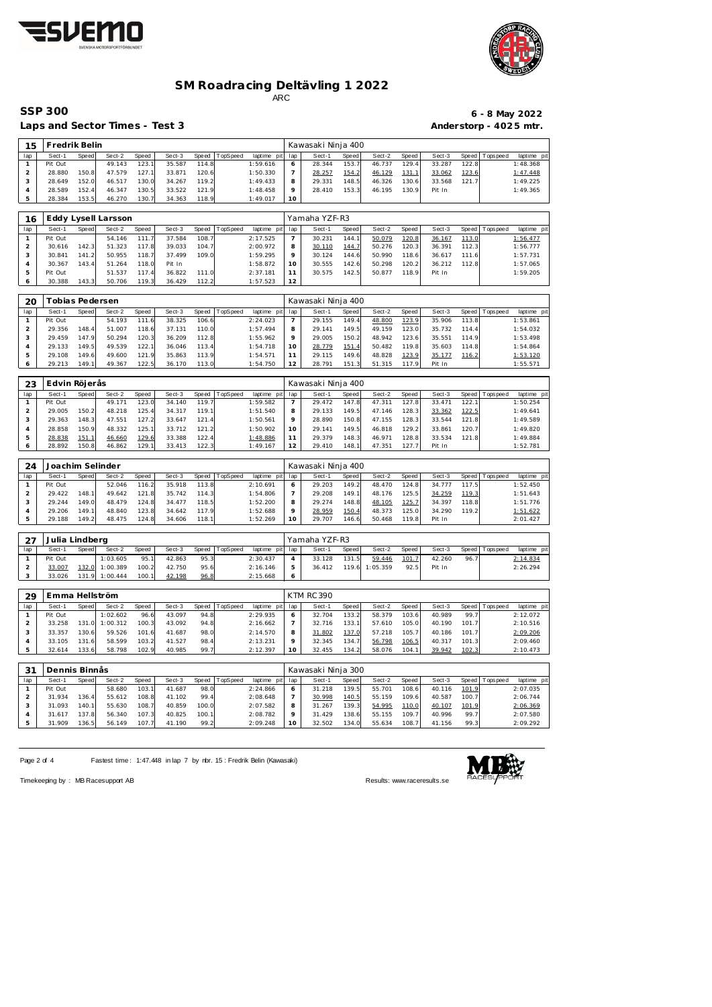



### **SM Roadracing Deltävling 1 2022** ARC

Laps and Sector Times - Test 3 **Anderstorp - 4025 mtr.** 

**15 Fredrik Belin**<br> **149 1 149 149 149 149 149 149 149 149 149 149 149 149 149 149 149 149 149 149 149 149 149 149 149 149 149 149 149 149 149 149 149 149** 

# **SSP 300 6 - 8 May 2022**

| lap            | Sect-1           | Speed | Sect-2              | Speed | Sect-3 | Speed | TopSpeed | laptime pit | lap                      | Sect-1             | Speed | Sect-2   | Speed | Sect-3 | Speed | T ops pee d | laptime pit |
|----------------|------------------|-------|---------------------|-------|--------|-------|----------|-------------|--------------------------|--------------------|-------|----------|-------|--------|-------|-------------|-------------|
| $\overline{1}$ | Pit Out          |       | 49.143              | 123.1 | 35.587 | 114.8 |          | 1:59.616    | 6                        | 28.344             | 153.7 | 46.737   | 129.4 | 33.287 | 122.8 |             | 1:48.368    |
| $\overline{2}$ | 28.880           | 150.8 | 47.579              | 127.1 | 33.871 | 120.6 |          | 1:50.330    | $\overline{7}$           | 28.257             | 154.2 | 46.129   | 131.1 | 33.062 | 123.6 |             | 1:47.448    |
| 3              | 28.649           | 152.0 | 46.517              | 130.0 | 34.267 | 119.2 |          | 1:49.433    | 8                        | 29.331             | 148.5 | 46.326   | 130.6 | 33.568 | 121.7 |             | 1:49.225    |
| $\overline{4}$ | 28.589           | 152.4 | 46.347              | 130.5 | 33.522 | 121.9 |          | 1:48.458    | 9                        | 28.410             | 153.3 | 46.195   | 130.9 | Pit In |       |             | 1:49.365    |
| 5              | 28.384           | 153.5 | 46.270              | 130.7 | 34.363 | 118.9 |          | 1:49.017    | 10                       |                    |       |          |       |        |       |             |             |
|                |                  |       |                     |       |        |       |          |             |                          |                    |       |          |       |        |       |             |             |
|                |                  |       |                     |       |        |       |          |             |                          |                    |       |          |       |        |       |             |             |
| 16             |                  |       | Eddy Lysell Larsson |       |        |       |          |             |                          | Yamaha YZF-R3      |       |          |       |        |       |             |             |
| lap            | Sect-1           | Speed | Sect-2              | Speed | Sect-3 | Speed | TopSpeed | laptime pit | lap                      | Sect-1             | Speed | Sect-2   | Speed | Sect-3 | Speed | Tops pee d  | laptime pit |
| $\mathbf{1}$   | Pit Out          |       | 54.146              | 111.7 | 37.584 | 108.7 |          | 2:17.525    | $\overline{7}$           | 30.231             | 144.1 | 50.079   | 120.8 | 36.167 | 113.0 |             | 1:56.477    |
| $\overline{2}$ | 30.616           | 142.3 | 51.323              | 117.8 | 39.033 | 104.7 |          | 2:00.972    | 8                        | 30.110             | 144.7 | 50.276   | 120.3 | 36.391 | 112.3 |             | 1:56.777    |
| 3              | 30.841           | 141.2 | 50.955              | 118.7 | 37.499 | 109.0 |          | 1:59.295    | 9                        | 30.124             | 144.6 | 50.990   | 118.6 | 36.617 | 111.6 |             | 1:57.731    |
| 4              | 30.367           | 143.4 | 51.264              | 118.0 | Pit In |       |          | 1:58.872    | 10                       | 30.555             | 142.6 | 50.298   | 120.2 | 36.212 | 112.8 |             | 1:57.065    |
| 5              | Pit Out          |       | 51.537              | 117.4 | 36.822 | 111.0 |          | 2:37.181    | 11                       | 30.575             | 142.5 | 50.877   | 118.9 | Pit In |       |             | 1:59.205    |
| 6              | 30.388           | 143.3 | 50.706              | 119.3 | 36.429 | 112.2 |          | 1:57.523    | 12                       |                    |       |          |       |        |       |             |             |
|                |                  |       |                     |       |        |       |          |             |                          |                    |       |          |       |        |       |             |             |
|                |                  |       |                     |       |        |       |          |             |                          |                    |       |          |       |        |       |             |             |
| 20             | Tobias Pedersen  |       |                     |       |        |       |          |             |                          | Kawasaki Ninja 400 |       |          |       |        |       |             |             |
| lap            | Sect-1           | Speed | Sect-2              | Speed | Sect-3 | Speed | TopSpeed | laptime pit | lap                      | Sect-1             | Speed | Sect-2   | Speed | Sect-3 | Speed | Tops peed   | laptime pit |
| $\mathbf{1}$   | Pit Out          |       | 54.193              | 111.6 | 38.325 | 106.6 |          | 2:24.023    | $\overline{7}$           | 29.155             | 149.4 | 48.800   | 123.9 | 35.906 | 113.8 |             | 1:53.861    |
| $\overline{2}$ | 29.356           | 148.4 | 51.007              | 118.6 | 37.131 | 110.0 |          | 1:57.494    | 8                        | 29.141             | 149.5 | 49.159   | 123.0 | 35.732 | 114.4 |             | 1:54.032    |
| 3              | 29.459           | 147.9 | 50.294              |       | 36.209 | 112.8 |          | 1:55.962    | 9                        | 29.005             | 150.2 | 48.942   | 123.6 | 35.551 | 114.9 |             | 1:53.498    |
|                |                  |       |                     | 120.3 |        |       |          |             |                          |                    |       |          |       |        |       |             |             |
| $\overline{4}$ | 29.133           | 149.5 | 49.539              | 122.1 | 36.046 | 113.4 |          | 1:54.718    | 10                       | 28.779             | 151.4 | 50.482   | 119.8 | 35.603 | 114.8 |             | 1:54.864    |
| 5              | 29.108           | 149.6 | 49.600              | 121.9 | 35.863 | 113.9 |          | 1:54.571    | 11                       | 29.115             | 149.6 | 48.828   | 123.9 | 35.177 | 116.2 |             | 1:53.120    |
| 6              | 29.213           | 149.1 | 49.367              | 122.5 | 36.170 | 113.0 |          | 1:54.750    | 12                       | 28.791             | 151.3 | 51.315   | 117.9 | Pit In |       |             | 1:55.571    |
|                |                  |       |                     |       |        |       |          |             |                          |                    |       |          |       |        |       |             |             |
| 23             | Edvin Röjerås    |       |                     |       |        |       |          |             |                          | Kawasaki Ninja 400 |       |          |       |        |       |             |             |
| lap            | Sect-1           | Speed | Sect-2              | Speed | Sect-3 | Speed | TopSpeed | laptime pit | lap                      | Sect-1             | Speed | Sect-2   | Speed | Sect-3 | Speed | Tops peed   | laptime pit |
| $\mathbf{1}$   | Pit Out          |       | 49.171              | 123.0 | 34.140 | 119.7 |          | 1:59.582    | $\overline{7}$           | 29.472             | 147.8 | 47.311   | 127.8 | 33.471 | 122.1 |             | 1:50.254    |
| $\overline{2}$ | 29.005           |       |                     |       | 34.317 | 119.1 |          |             |                          | 29.133             | 149.5 |          |       |        |       |             | 1:49.641    |
|                |                  | 150.2 | 48.218              | 125.4 |        |       |          | 1:51.540    | 8                        |                    |       | 47.146   | 128.3 | 33.362 | 122.5 |             |             |
| 3              | 29.363           | 148.3 | 47.551              | 127.2 | 33.647 | 121.4 |          | 1:50.561    | 9                        | 28.890             | 150.8 | 47.155   | 128.3 | 33.544 | 121.8 |             | 1:49.589    |
| $\overline{4}$ | 28.858           | 150.9 | 48.332              | 125.1 | 33.712 | 121.2 |          | 1:50.902    | 10                       | 29.141             | 149.5 | 46.818   | 129.2 | 33.861 | 120.7 |             | 1:49.820    |
| 5              | 28.838           | 151.1 | 46.660              | 129.6 | 33.388 | 122.4 |          | 1:48.886    | 11                       | 29.379             | 148.3 | 46.971   | 128.8 | 33.534 | 121.8 |             | 1:49.884    |
| 6              | 28.892           | 150.8 | 46.862              | 129.1 | 33.413 | 122.3 |          | 1:49.167    | 12                       | 29.410             | 148.1 | 47.351   | 127.7 | Pit In |       |             | 1:52.781    |
|                |                  |       |                     |       |        |       |          |             |                          |                    |       |          |       |        |       |             |             |
| 24             | Joachim Selinder |       |                     |       |        |       |          |             |                          | Kawasaki Ninja 400 |       |          |       |        |       |             |             |
| lap            | Sect-1           | Speed | Sect-2              | Speed | Sect-3 | Speed | TopSpeed | laptime pit | lap                      | Sect-1             | Speed | Sect-2   | Speed | Sect-3 | Speed | T ops pee d | laptime pit |
| $\mathbf{1}$   | Pit Out          |       | 52.046              | 116.2 | 35.918 | 113.8 |          | 2:10.691    | 6                        | 29.203             | 149.2 | 48.470   | 124.8 | 34.777 | 117.5 |             | 1:52.450    |
| $\overline{2}$ | 29.422           |       | 49.642              |       | 35.742 | 114.3 |          |             | $\overline{\phantom{a}}$ | 29.208             |       |          | 125.5 |        |       |             |             |
|                |                  | 148.1 |                     | 121.8 |        |       |          | 1:54.806    |                          |                    | 149.1 | 48.176   |       | 34.259 | 119.3 |             | 1:51.643    |
| 3              | 29.244           | 149.0 | 48.479              | 124.8 | 34.477 | 118.5 |          | 1:52.200    | 8                        | 29.274             | 148.8 | 48.105   | 125.7 | 34.397 | 118.8 |             | 1:51.776    |
| $\sqrt{4}$     | 29.206           | 149.1 | 48.840              | 123.8 | 34.642 | 117.9 |          | 1:52.688    | 9                        | 28.959             | 150.4 | 48.373   | 125.0 | 34.290 | 119.2 |             | 1:51.622    |
| 5              | 29.188           | 149.2 | 48.475              | 124.8 | 34.606 | 118.1 |          | 1:52.269    | 10                       | 29.707             | 146.6 | 50.468   | 119.8 | Pit In |       |             | 2:01.427    |
|                |                  |       |                     |       |        |       |          |             |                          |                    |       |          |       |        |       |             |             |
| 27             | Julia Lindberg   |       |                     |       |        |       |          |             |                          | Yamaha YZF-R3      |       |          |       |        |       |             |             |
| lap            | Sect-1           | Speed | Sect-2              | Speed | Sect-3 | Speed | TopSpeed | laptime pit | lap                      | Sect-1             | Speed | Sect-2   | Speed | Sect-3 | Speed | T ops pee d | laptime pit |
| $\mathbf{1}$   | Pit Out          |       | 1:03.605            | 95.1  | 42.863 | 95.3  |          | 2:30.437    | $\overline{4}$           | 33.128             | 131.5 | 59.446   | 101.7 | 42.260 | 96.7  |             | 2:14.834    |
|                |                  |       |                     |       |        |       |          |             |                          |                    |       |          |       |        |       |             |             |
| $\overline{2}$ | 33.007           | 132.0 | 1:00.389            | 100.2 | 42.750 | 95.6  |          | 2:16.146    | 5                        | 36.412             | 119.6 | 1:05.359 | 92.5  | Pit In |       |             | 2:26.294    |
| 3              | 33.026           | 131.9 | 1:00.444            | 100.1 | 42.198 | 96.8  |          | 2:15.668    | 6                        |                    |       |          |       |        |       |             |             |
|                |                  |       |                     |       |        |       |          |             |                          |                    |       |          |       |        |       |             |             |
| 29             | Emma Hellström   |       |                     |       |        |       |          |             |                          | <b>KTM RC 390</b>  |       |          |       |        |       |             |             |
| lap            | Sect-1           | Speed | Sect-2              | Speed | Sect-3 | Speed | TopSpeed | laptime pit | lap                      | Sect-1             | Speed | Sect-2   | Speed | Sect-3 | Speed | Tops pee d  | laptime pit |
| $\mathbf{1}$   | Pit Out          |       | 1:02.602            | 96.6  | 43.097 | 94.8  |          | 2:29.935    | 6                        | 32.704             | 133.2 | 58.379   | 103.6 | 40.989 | 99.7  |             | 2:12.072    |
| $\overline{2}$ | 33.258           | 131.0 | 1:00.312            | 100.3 | 43.092 | 94.8  |          | 2:16.662    | 7                        | 32.716             | 133.1 | 57.610   | 105.0 | 40.190 | 101.7 |             | 2:10.516    |
|                |                  |       |                     |       |        |       |          |             |                          |                    |       |          |       |        |       |             |             |
| 3              | 33.357           | 130.6 | 59.526              | 101.6 | 41.687 | 98.0  |          | 2:14.570    | 8                        | 31.802             | 137.0 | 57.218   | 105.7 | 40.186 | 101.7 |             | 2:09.206    |
| 4              | 33.105           | 131.6 | 58.599              | 103.2 | 41.527 | 98.4  |          | 2:13.231    | 9                        | 32.345             | 134.7 | 56.798   | 106.5 | 40.317 | 101.3 |             | 2:09.460    |
| 5              | 32.614           | 133.6 | 58.798              | 102.9 | 40.985 | 99.7  |          | 2:12.397    | 10                       | 32.455             | 134.2 | 58.076   | 104.1 | 39.942 | 102.3 |             | 2:10.473    |
|                |                  |       |                     |       |        |       |          |             |                          |                    |       |          |       |        |       |             |             |
| 21             | Dennis Rinnãs    |       |                     |       |        |       |          |             |                          | Kawasaki Ninia 300 |       |          |       |        |       |             |             |

| 31  | Dennis Binnås |       |        |       |        |       |          |                 |                 | Kawasaki Ninja 300 |       |        |       |        |       |                 |             |
|-----|---------------|-------|--------|-------|--------|-------|----------|-----------------|-----------------|--------------------|-------|--------|-------|--------|-------|-----------------|-------------|
| lap | Sect-1        | Speed | Sect-2 | Speed | Sect-3 | Speed | TopSpeed | laptime<br>pitl | lap             | Sect-1             | Speed | Sect-2 | Speed | Sect-3 |       | Speed Tops peed | laptime pit |
|     | Pit Out       |       | 58.680 | 103.1 | 41.687 | 98.0  |          | 2:24.866        |                 | 31.218             | 139.5 | 55.701 | 108.6 | 40.116 | 101.9 |                 | 2:07.035    |
|     | 31.934        | 136.4 | 55.612 | 108.8 | 41.102 | 99.4  |          | 2:08.648        |                 | 30.998             | 140.5 | 55.159 | 109.6 | 40.587 | 100.7 |                 | 2:06.744    |
|     | 31.093        | 140.1 | 55.630 | 108.7 | 40.859 | 100.0 |          | 2:07.582        | 8               | 31.267             | 139.3 | 54.995 | 110.0 | 40.107 | 101.9 |                 | 2:06.369    |
|     | 31.617        | 137.8 | 56.340 | 107.3 | 40.825 | 100.1 |          | 2:08.782        |                 | 31.429             | 138.6 | 55.155 | 109.7 | 40.996 | 99.7  |                 | 2:07.580    |
|     | 31.909        | 136.5 | 56.149 | 107.7 | 41.190 | 99.2  |          | 2:09.248        | 10 <sup>°</sup> | 32.502             | 134.0 | 55.634 | 108.7 | 41.156 | 99.3  |                 | 2:09.292    |

Page 2 of 4 Fastest time: 1:47.448 in lap 7 by nbr. 15 : Fredrik Belin (Kawasaki)



Timekeeping by : MB Racesupport AB **Results:<www.raceresults.se>**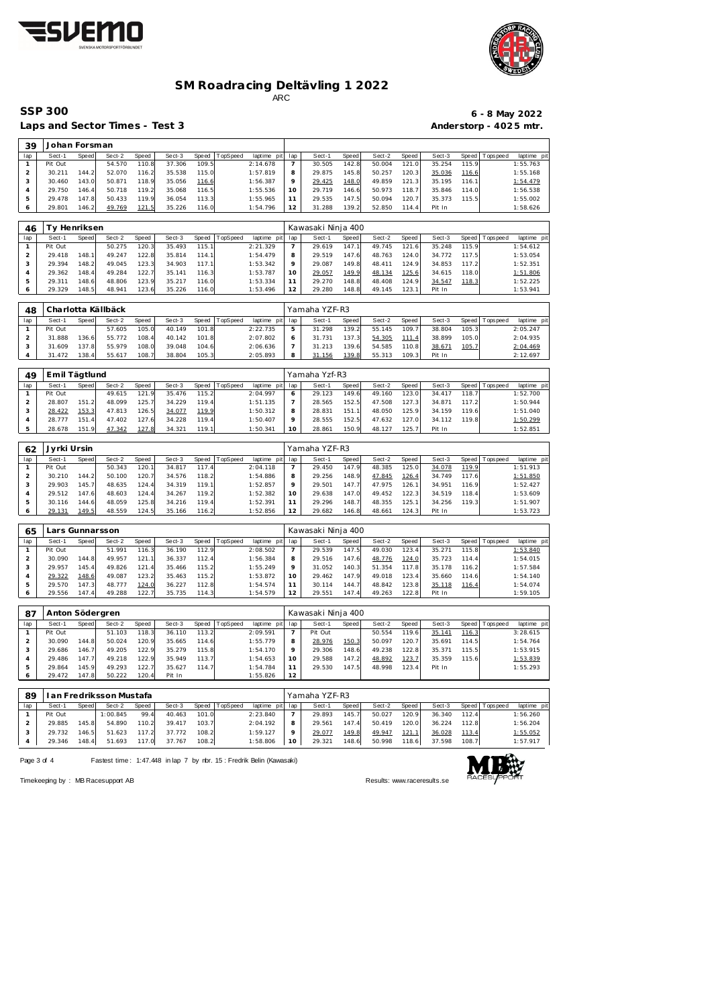



## **SM Roadracing Deltävling 1 2022**

ARC

 **Johan Forsman**

Laps and Sector Times - Test 3 **Anderstorp - 4025 mtr.** 

# **SSP 300 6 - 8 May 2022**

| lap            | Sect-1          | Speed        | Sect-2             | <b>Speed</b> | Sect-3 | Speed | TopSpeed | laptime pit | lap            | Sect-1             | Speed | Sect-2 | Speed | Sect-3 | Speed | T ops pee d | laptime pit |
|----------------|-----------------|--------------|--------------------|--------------|--------|-------|----------|-------------|----------------|--------------------|-------|--------|-------|--------|-------|-------------|-------------|
| $\mathbf{1}$   | Pit Out         |              | 54.570             | 110.8        | 37.306 | 109.5 |          | 2:14.678    | $\overline{7}$ | 30.505             | 142.8 | 50.004 | 121.0 | 35.254 | 115.9 |             | 1:55.763    |
| $\overline{c}$ | 30.211          | 144.2        | 52.070             | 116.2        | 35.538 | 115.0 |          | 1:57.819    | 8              | 29.875             | 145.8 | 50.257 | 120.3 | 35.036 | 116.6 |             | 1:55.168    |
| 3              | 30.460          | 143.0        | 50.871             | 118.9        | 35.056 | 116.6 |          | 1:56.387    | 9              | 29.425             | 148.0 | 49.859 | 121.3 | 35.195 | 116.1 |             | 1:54.479    |
| $\overline{4}$ | 29.750          | 146.4        | 50.718             | 119.2        | 35.068 | 116.5 |          | 1:55.536    | 10             | 29.719             | 146.6 | 50.973 | 118.7 | 35.846 | 114.0 |             | 1:56.538    |
| $\mathbf 5$    | 29.478          | 147.8        | 50.433             | 119.9        | 36.054 | 113.3 |          | 1:55.965    | 11             | 29.535             | 147.5 | 50.094 | 120.7 | 35.373 | 115.5 |             | 1:55.002    |
| 6              | 29.801          | 146.2        | 49.769             | 121.5        | 35.226 | 116.0 |          | 1:54.796    | 12             | 31.288             | 139.2 | 52.850 | 114.4 | Pit In |       |             | 1:58.626    |
| 46             | Ty Henriksen    |              |                    |              |        |       |          |             |                | Kawasaki Ninja 400 |       |        |       |        |       |             |             |
| lap            | Sect-1          | <b>Speed</b> | Sect-2             | Speed        | Sect-3 | Speed | TopSpeed | laptime pit | lap            | Sect-1             | Speed | Sect-2 | Speed | Sect-3 | Speed | Tops peed   | laptime pi  |
| $\mathbf{1}$   | Pit Out         |              | 50.275             | 120.3        | 35.493 | 115.  |          | 2:21.329    | 7              | 29.619             | 147.1 | 49.745 | 121.6 | 35.248 | 115.9 |             | 1:54.612    |
| $\sqrt{2}$     | 29.418          | 148.1        | 49.247             | 122.8        | 35.814 | 114.1 |          | 1:54.479    | 8              | 29.519             | 147.6 | 48.763 | 124.0 | 34.772 | 117.5 |             | 1:53.054    |
| 3              | 29.394          | 148.2        | 49.045             | 123.3        | 34.903 | 117.1 |          | 1:53.342    | 9              | 29.087             | 149.8 | 48.411 | 124.9 | 34.853 | 117.2 |             | 1:52.351    |
| $\overline{4}$ | 29.362          | 148.4        | 49.284             | 122.7        | 35.141 | 116.3 |          | 1:53.787    | 10             | 29.057             | 149.9 | 48.134 | 125.6 | 34.615 | 118.0 |             | 1:51.806    |
| $\mathbf 5$    | 29.311          | 148.6        | 48.806             | 123.9        | 35.217 | 116.0 |          | 1:53.334    | 11             | 29.270             | 148.8 | 48.408 | 124.9 | 34.547 | 118.3 |             | 1:52.225    |
| 6              | 29.329          | 148.5        | 48.941             | 123.6        | 35.226 | 116.0 |          | 1:53.496    | 12             | 29.280             | 148.8 | 49.145 | 123.1 | Pit In |       |             | 1:53.941    |
|                |                 |              |                    |              |        |       |          |             |                |                    |       |        |       |        |       |             |             |
| 48             |                 |              | Charlotta Källbäck |              |        |       |          |             |                | Yamaha YZF-R3      |       |        |       |        |       |             |             |
| lap            | Sect-1          | Speed        | Sect-2             | Speed        | Sect-3 | Speed | TopSpeed | laptime pit | lap            | Sect-1             | Speed | Sect-2 | Speed | Sect-3 | Speed | T ops pee d | laptime pi  |
| $\mathbf{1}$   | Pit Out         |              | 57.605             | 105.0        | 40.149 | 101.8 |          | 2:22.735    | 5              | 31.298             | 139.2 | 55.145 | 109.7 | 38.804 | 105.3 |             | 2:05.247    |
| $\overline{2}$ | 31.888          | 136.6        | 55.772             | 108.4        | 40.142 | 101.8 |          | 2:07.802    | 6              | 31.731             | 137.3 | 54.305 | 111.4 | 38.899 | 105.0 |             | 2:04.935    |
| 3              | 31.609          | 137.8        | 55.979             | 108.0        | 39.048 | 104.6 |          | 2:06.636    | $\overline{7}$ | 31.213             | 139.6 | 54.585 | 110.8 | 38.671 | 105.7 |             | 2:04.469    |
| $\overline{4}$ | 31.472          | 138.4        | 55.617             | 108.7        | 38.804 | 105.3 |          | 2:05.893    | 8              | 31.156             | 139.8 | 55.313 | 109.3 | Pit In |       |             | 2:12.697    |
|                |                 |              |                    |              |        |       |          |             |                |                    |       |        |       |        |       |             |             |
| 49             | Emil Tägtlund   |              |                    |              |        |       |          |             |                | Yamaha Yzf-R3      |       |        |       |        |       |             |             |
| lap            | Sect-1          | Speed        | Sect-2             | Speed        | Sect-3 | Speed | TopSpeed | laptime pit | lap            | Sect-1             | Speed | Sect-2 | Speed | Sect-3 | Speed | T ops pee d | laptime pi  |
| $\mathbf{1}$   | Pit Out         |              | 49.615             | 121.9        | 35.476 | 115.2 |          | 2:04.997    | 6              | 29.123             | 149.6 | 49.160 | 123.0 | 34.417 | 118.7 |             | 1:52.700    |
| $\overline{c}$ | 28.807          | 151.2        | 48.099             | 125.7        | 34.229 | 119.4 |          | 1:51.135    | $\overline{7}$ | 28.565             | 152.5 | 47.508 | 127.3 | 34.871 | 117.2 |             | 1:50.944    |
| $\mathsf 3$    | 28.422          | 153.3        | 47.813             | 126.5        | 34.077 | 119.9 |          | 1:50.312    | 8              | 28.831             | 151.1 | 48.050 | 125.9 | 34.159 | 119.6 |             | 1:51.040    |
| $\overline{4}$ | 28.777          | 151.4        | 47.402             | 127.6        | 34.228 | 119.4 |          | 1:50.407    | 9              | 28.555             | 152.5 | 47.632 | 127.0 | 34.112 | 119.8 |             | 1:50.299    |
| 5              | 28.678          | 151.9        | 47.342             | 127.8        | 34.321 | 119.7 |          | 1:50.341    | 10             | 28.861             | 150.9 | 48.127 | 125.7 | Pit In |       |             | 1:52.851    |
| 62             | Jyrki Ursin     |              |                    |              |        |       |          |             |                | Yamaha YZF-R3      |       |        |       |        |       |             |             |
| lap            | Sect-1          | Speed        | Sect-2             | Speed        | Sect-3 | Speed | TopSpeed | laptime pit | lap            | Sect-1             | Speed | Sect-2 | Speed | Sect-3 | Speed | Tops peed   | laptime pi  |
| $\mathbf{1}$   | Pit Out         |              | 50.343             | 120.1        | 34.817 | 117.4 |          | 2:04.118    | $\overline{7}$ | 29.450             | 147.9 | 48.385 | 125.0 | 34.078 | 119.9 |             | 1:51.913    |
| $\overline{c}$ | 30.210          | 144.2        | 50.100             | 120.7        | 34.576 | 118.2 |          | 1:54.886    | 8              | 29.256             | 148.9 | 47.845 | 126.4 | 34.749 | 117.6 |             | 1:51.850    |
| $\mathsf 3$    | 29.903          | 145.7        | 48.635             | 124.4        | 34.319 | 119.1 |          | 1:52.857    | 9              | 29.501             | 147.7 | 47.975 | 126.1 | 34.951 | 116.9 |             | 1:52.427    |
| 4              | 29.512          | 147.6        | 48.603             | 124.4        | 34.267 | 119.2 |          | 1:52.382    | 10             | 29.638             | 147.0 | 49.452 | 122.3 | 34.519 | 118.4 |             | 1:53.609    |
| 5              | 30.116          | 144.6        | 48.059             | 125.8        | 34.216 | 119.4 |          | 1:52.391    | 11             | 29.296             | 148.7 | 48.355 | 125.1 | 34.256 | 119.3 |             | 1:51.907    |
| 6              | 29.131          | 149.5        | 48.559             | 124.5        | 35.166 | 116.2 |          | 1:52.856    | 12             | 29.682             | 146.8 | 48.661 | 124.3 | Pit In |       |             | 1:53.723    |
|                |                 |              |                    |              |        |       |          |             |                |                    |       |        |       |        |       |             |             |
| 65             | Lars Gunnarsson |              |                    |              |        |       |          |             |                | Kawasaki Ninja 400 |       |        |       |        |       |             |             |
| lap            | Sect-1          | Speed        | Sect-2             | Speed        | Sect-3 | Speed | TopSpeed | laptime pit | lap            | Sect-1             | Speed | Sect-2 | Speed | Sect-3 | Speed | T ops peed  | laptime pi  |
| $\mathbf{1}$   | Pit Out         |              | 51.991             | 116.3        | 36.190 | 112.9 |          | 2:08.502    | $\overline{7}$ | 29.539             | 147.5 | 49.030 | 123.4 | 35.271 | 115.8 |             | 1:53.840    |
| $\sqrt{2}$     | 30.090          | 144.8        | 49.957             | 121.1        | 36.337 | 112.4 |          | 1:56.384    | 8              | 29.516             | 147.6 | 48.776 | 124.0 | 35.723 | 114.4 |             | 1:54.015    |
| 3              | 29.957          | 145.4        | 49.826             | 121.4        | 35.466 | 115.2 |          | 1:55.249    | 9              | 31.052             | 140.3 | 51.354 | 117.8 | 35.178 | 116.2 |             | 1:57.584    |
| $\overline{4}$ | 29.322          | 148.6        | 49.087             | 123.2        | 35.463 | 115.2 |          | 1:53.872    | 10             | 29.462             | 147.9 | 49.018 | 123.4 | 35.660 | 114.6 |             | 1:54.140    |
| 5              | 29.570          | 147.3        | 48.777             | 124.0        | 36.227 | 112.8 |          | 1:54.574    | 11             | 30.114             | 144.7 | 48.842 | 123.8 | 35.118 | 116.4 |             | 1:54.074    |
| 6              | 29.556          | 147.4        | 49.288             | 122.7        | 35.735 | 114.3 |          | 1:54.579    | 12             | 29.551             | 147.4 | 49.263 | 122.8 | Pit In |       |             | 1:59.105    |
| 87             | Anton Södergren |              |                    |              |        |       |          |             |                | Kawasaki Ninja 400 |       |        |       |        |       |             |             |
| lap            | Sect-1          | Speed        | Sect-2             | Speed        | Sect-3 | Speed | TopSpeed | laptime pit | lap            | Sect-1             | Speed | Sect-2 | Speed | Sect-3 | Speed | Tops pee d  | laptime pit |
| $\mathbf{1}$   | Pit Out         |              | 51.103             | 118.3        | 36.110 | 113.2 |          | 2:09.591    | $\overline{7}$ | Pit Out            |       | 50.554 | 119.6 | 35.141 | 116.3 |             | 3:28.615    |
| $\overline{2}$ | 30.090          | 144.8        | 50.024             | 120.9        | 35.665 | 114.6 |          | 1:55.779    | 8              | 28.976             | 150.3 | 50.097 | 120.7 | 35.691 | 114.5 |             | 1:54.764    |
| 3              | 29.686          | 146.7        | 49.205             | 122.9        | 35.279 | 115.8 |          | 1:54.170    | 9              | 29.306             | 148.6 | 49.238 | 122.8 | 35.371 | 115.5 |             | 1:53.915    |
| 4              | 29.486          | 147.7        | 49.218             | 122.9        | 35.949 | 113.7 |          | 1:54.653    | 10             | 29.588             | 147.2 | 48.892 | 123.7 | 35.359 | 115.6 |             | 1:53.839    |
| $\mathbf 5$    | 29.864          | 145.9        | 49.293             | 122.7        | 35.627 | 114.7 |          | 1:54.784    | 11             | 29.530             | 147.5 | 48.998 | 123.4 | Pit In |       |             | 1:55.293    |
| 6              | 29.472          | 147.8        | 50.222             | 120.4        | Pit In |       |          | 1:55.826    | 12             |                    |       |        |       |        |       |             |             |
|                |                 |              |                    |              |        |       |          |             |                |                    |       |        |       |        |       |             |             |

| 89  | I an Fredriksson Mustafa<br>TopSpeed<br>Speed<br>Sect-2<br>Sect-3<br>Speed<br>Sect-1<br>Speed |       |          |       |        |       |  |                 |                 | Yamaha YZF-R3 |       |        |       |        |       |                 |             |
|-----|-----------------------------------------------------------------------------------------------|-------|----------|-------|--------|-------|--|-----------------|-----------------|---------------|-------|--------|-------|--------|-------|-----------------|-------------|
| lap |                                                                                               |       |          |       |        |       |  | laptime pit lap |                 | Sect-1        | Speed | Sect-2 | Speed | Sect-3 |       | Speed Tops peed | laptime pit |
|     | Pit Out                                                                                       |       | 1:00.845 | 99.4  | 40.463 | 101.0 |  | 2:23.840        |                 | 29.893        | 145.7 | 50.027 | 120.9 | 36.340 | 112.4 |                 | 1:56.260    |
|     | 29.885                                                                                        | 145.8 | 54.890   | 110.2 | 39.417 | 103.7 |  | 2:04.192        | 8               | 29.561        | 147.4 | 50.419 | 120.0 | 36.224 | 112.8 |                 | 1:56.204    |
|     | 29.732                                                                                        | 146.5 | 51.623   | 117.2 | 37.772 | 108.2 |  | 1:59.127        |                 | 29.077        | 149.8 | 49.947 | 121.1 | 36.028 | 113.4 |                 | 1:55.052    |
|     | 29.346                                                                                        | 148.4 | 51.693   | 117.0 | 37.767 | 108.2 |  | 1:58.806        | 10 <sup>°</sup> | 29.321        | 148.6 | 50.998 | 118.6 | 37.598 | 108.7 |                 | 1:57.917    |

Page 3 of 4 Fastest time: 1:47.448 in lap 7 by nbr. 15 : Fredrik Belin (Kawasaki)



Timekeeping by : MB Racesupport AB Results:<www.raceresults.se>